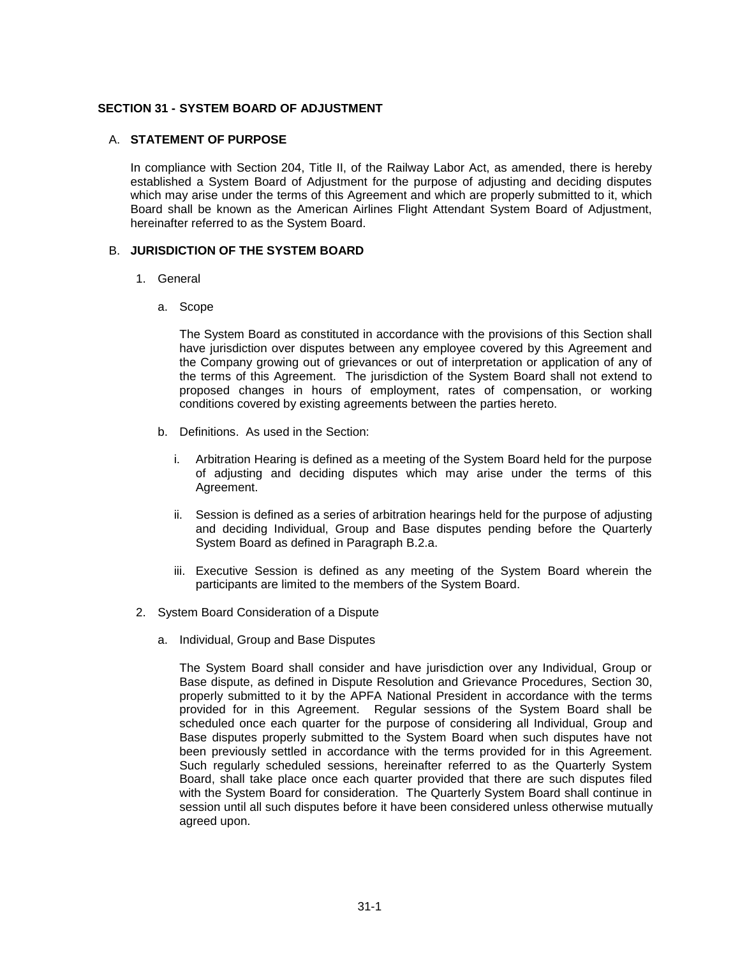### **SECTION 31 - SYSTEM BOARD OF ADJUSTMENT**

### A. **STATEMENT OF PURPOSE**

In compliance with Section 204, Title II, of the Railway Labor Act, as amended, there is hereby established a System Board of Adjustment for the purpose of adjusting and deciding disputes which may arise under the terms of this Agreement and which are properly submitted to it, which Board shall be known as the American Airlines Flight Attendant System Board of Adjustment, hereinafter referred to as the System Board.

## B. **JURISDICTION OF THE SYSTEM BOARD**

- 1. General
	- a. Scope

The System Board as constituted in accordance with the provisions of this Section shall have jurisdiction over disputes between any employee covered by this Agreement and the Company growing out of grievances or out of interpretation or application of any of the terms of this Agreement. The jurisdiction of the System Board shall not extend to proposed changes in hours of employment, rates of compensation, or working conditions covered by existing agreements between the parties hereto.

- b. Definitions. As used in the Section:
	- i. Arbitration Hearing is defined as a meeting of the System Board held for the purpose of adjusting and deciding disputes which may arise under the terms of this Agreement.
	- ii. Session is defined as a series of arbitration hearings held for the purpose of adjusting and deciding Individual, Group and Base disputes pending before the Quarterly System Board as defined in Paragraph B.2.a.
	- iii. Executive Session is defined as any meeting of the System Board wherein the participants are limited to the members of the System Board.
- 2. System Board Consideration of a Dispute
	- a. Individual, Group and Base Disputes

The System Board shall consider and have jurisdiction over any Individual, Group or Base dispute, as defined in Dispute Resolution and Grievance Procedures, Section 30, properly submitted to it by the APFA National President in accordance with the terms provided for in this Agreement. Regular sessions of the System Board shall be scheduled once each quarter for the purpose of considering all Individual, Group and Base disputes properly submitted to the System Board when such disputes have not been previously settled in accordance with the terms provided for in this Agreement. Such regularly scheduled sessions, hereinafter referred to as the Quarterly System Board, shall take place once each quarter provided that there are such disputes filed with the System Board for consideration. The Quarterly System Board shall continue in session until all such disputes before it have been considered unless otherwise mutually agreed upon.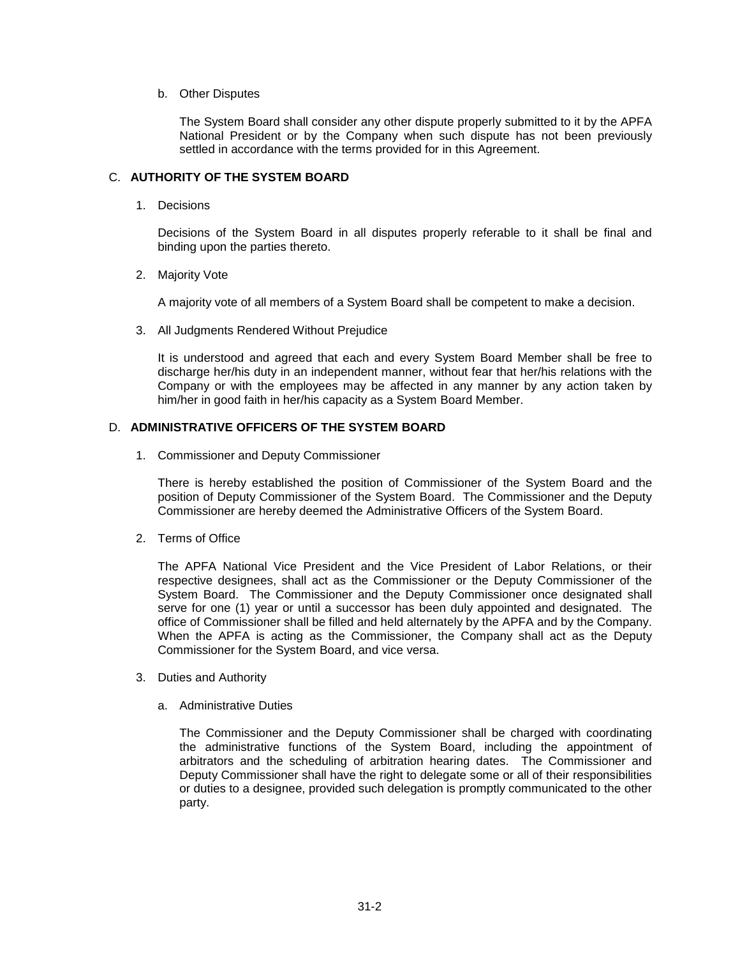### b. Other Disputes

The System Board shall consider any other dispute properly submitted to it by the APFA National President or by the Company when such dispute has not been previously settled in accordance with the terms provided for in this Agreement.

## C. **AUTHORITY OF THE SYSTEM BOARD**

1. Decisions

Decisions of the System Board in all disputes properly referable to it shall be final and binding upon the parties thereto.

2. Majority Vote

A majority vote of all members of a System Board shall be competent to make a decision.

3. All Judgments Rendered Without Prejudice

It is understood and agreed that each and every System Board Member shall be free to discharge her/his duty in an independent manner, without fear that her/his relations with the Company or with the employees may be affected in any manner by any action taken by him/her in good faith in her/his capacity as a System Board Member.

## D. **ADMINISTRATIVE OFFICERS OF THE SYSTEM BOARD**

1. Commissioner and Deputy Commissioner

There is hereby established the position of Commissioner of the System Board and the position of Deputy Commissioner of the System Board. The Commissioner and the Deputy Commissioner are hereby deemed the Administrative Officers of the System Board.

2. Terms of Office

The APFA National Vice President and the Vice President of Labor Relations, or their respective designees, shall act as the Commissioner or the Deputy Commissioner of the System Board. The Commissioner and the Deputy Commissioner once designated shall serve for one (1) year or until a successor has been duly appointed and designated. The office of Commissioner shall be filled and held alternately by the APFA and by the Company. When the APFA is acting as the Commissioner, the Company shall act as the Deputy Commissioner for the System Board, and vice versa.

- 3. Duties and Authority
	- a. Administrative Duties

The Commissioner and the Deputy Commissioner shall be charged with coordinating the administrative functions of the System Board, including the appointment of arbitrators and the scheduling of arbitration hearing dates. The Commissioner and Deputy Commissioner shall have the right to delegate some or all of their responsibilities or duties to a designee, provided such delegation is promptly communicated to the other party.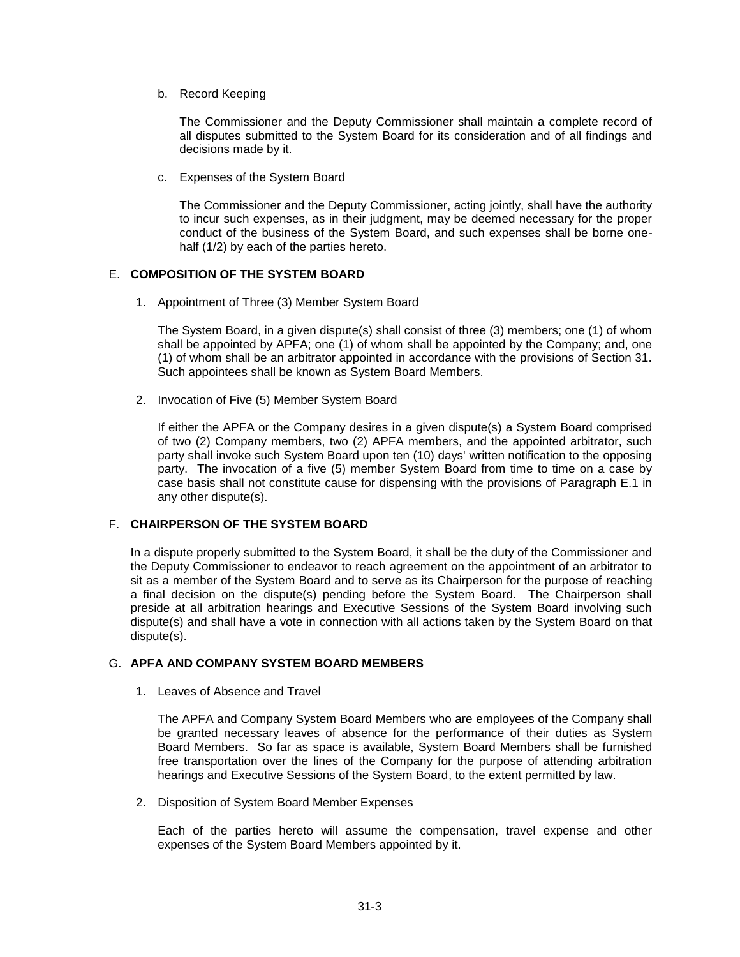b. Record Keeping

The Commissioner and the Deputy Commissioner shall maintain a complete record of all disputes submitted to the System Board for its consideration and of all findings and decisions made by it.

c. Expenses of the System Board

The Commissioner and the Deputy Commissioner, acting jointly, shall have the authority to incur such expenses, as in their judgment, may be deemed necessary for the proper conduct of the business of the System Board, and such expenses shall be borne onehalf (1/2) by each of the parties hereto.

## E. **COMPOSITION OF THE SYSTEM BOARD**

1. Appointment of Three (3) Member System Board

The System Board, in a given dispute(s) shall consist of three (3) members; one (1) of whom shall be appointed by APFA; one (1) of whom shall be appointed by the Company; and, one (1) of whom shall be an arbitrator appointed in accordance with the provisions of Section 31. Such appointees shall be known as System Board Members.

2. Invocation of Five (5) Member System Board

If either the APFA or the Company desires in a given dispute(s) a System Board comprised of two (2) Company members, two (2) APFA members, and the appointed arbitrator, such party shall invoke such System Board upon ten (10) days' written notification to the opposing party. The invocation of a five (5) member System Board from time to time on a case by case basis shall not constitute cause for dispensing with the provisions of Paragraph E.1 in any other dispute(s).

## F. **CHAIRPERSON OF THE SYSTEM BOARD**

In a dispute properly submitted to the System Board, it shall be the duty of the Commissioner and the Deputy Commissioner to endeavor to reach agreement on the appointment of an arbitrator to sit as a member of the System Board and to serve as its Chairperson for the purpose of reaching a final decision on the dispute(s) pending before the System Board. The Chairperson shall preside at all arbitration hearings and Executive Sessions of the System Board involving such dispute(s) and shall have a vote in connection with all actions taken by the System Board on that dispute(s).

## G. **APFA AND COMPANY SYSTEM BOARD MEMBERS**

1. Leaves of Absence and Travel

The APFA and Company System Board Members who are employees of the Company shall be granted necessary leaves of absence for the performance of their duties as System Board Members. So far as space is available, System Board Members shall be furnished free transportation over the lines of the Company for the purpose of attending arbitration hearings and Executive Sessions of the System Board, to the extent permitted by law.

2. Disposition of System Board Member Expenses

Each of the parties hereto will assume the compensation, travel expense and other expenses of the System Board Members appointed by it.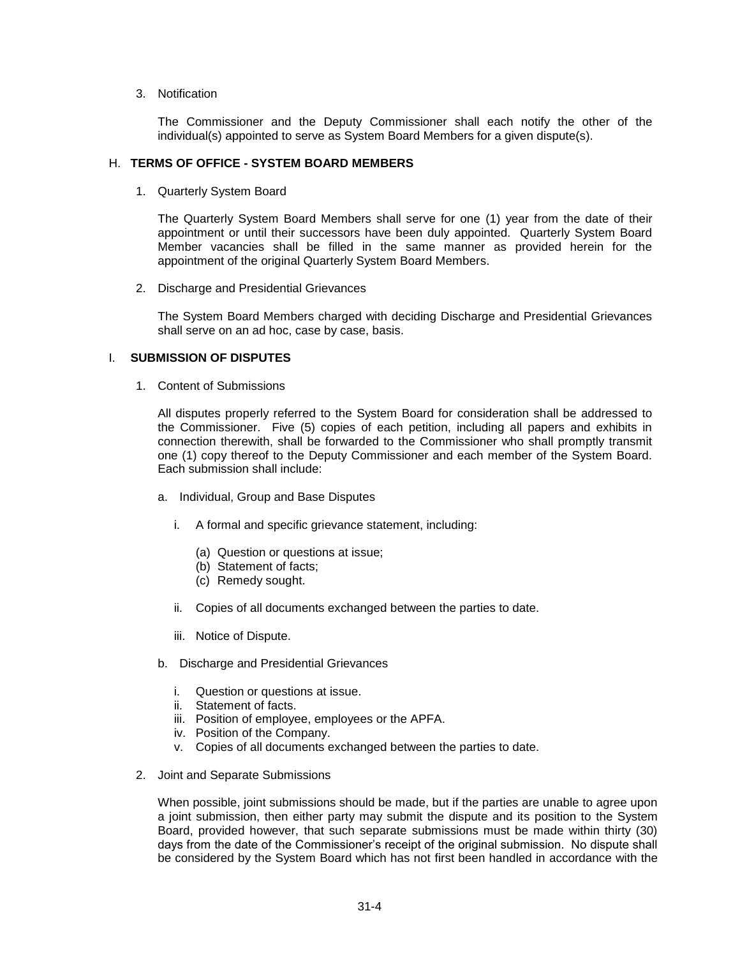#### 3. Notification

The Commissioner and the Deputy Commissioner shall each notify the other of the individual(s) appointed to serve as System Board Members for a given dispute(s).

#### H. **TERMS OF OFFICE - SYSTEM BOARD MEMBERS**

1. Quarterly System Board

The Quarterly System Board Members shall serve for one (1) year from the date of their appointment or until their successors have been duly appointed. Quarterly System Board Member vacancies shall be filled in the same manner as provided herein for the appointment of the original Quarterly System Board Members.

2. Discharge and Presidential Grievances

The System Board Members charged with deciding Discharge and Presidential Grievances shall serve on an ad hoc, case by case, basis.

#### I. **SUBMISSION OF DISPUTES**

1. Content of Submissions

All disputes properly referred to the System Board for consideration shall be addressed to the Commissioner. Five (5) copies of each petition, including all papers and exhibits in connection therewith, shall be forwarded to the Commissioner who shall promptly transmit one (1) copy thereof to the Deputy Commissioner and each member of the System Board. Each submission shall include:

- a. Individual, Group and Base Disputes
	- i. A formal and specific grievance statement, including:
		- (a) Question or questions at issue;
		- (b) Statement of facts;
		- (c) Remedy sought.
	- ii. Copies of all documents exchanged between the parties to date.
	- iii. Notice of Dispute.
- b. Discharge and Presidential Grievances
	- i. Question or questions at issue.
	- ii. Statement of facts.
	- iii. Position of employee, employees or the APFA.
	- iv. Position of the Company.
	- v. Copies of all documents exchanged between the parties to date.
- 2. Joint and Separate Submissions

When possible, joint submissions should be made, but if the parties are unable to agree upon a joint submission, then either party may submit the dispute and its position to the System Board, provided however, that such separate submissions must be made within thirty (30) days from the date of the Commissioner's receipt of the original submission. No dispute shall be considered by the System Board which has not first been handled in accordance with the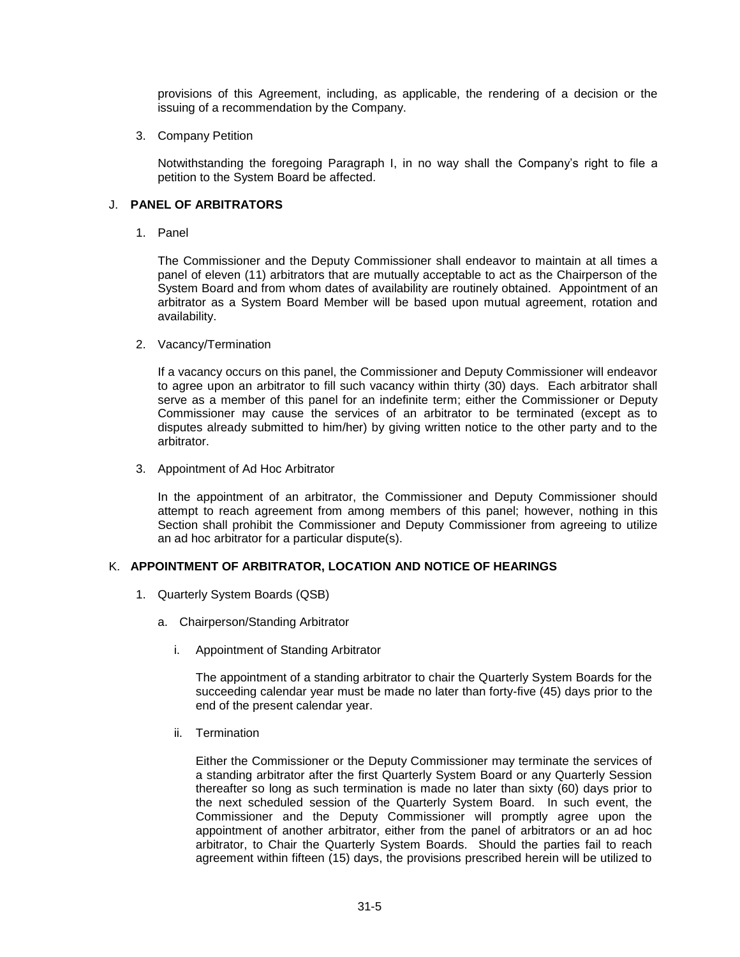provisions of this Agreement, including, as applicable, the rendering of a decision or the issuing of a recommendation by the Company.

3. Company Petition

Notwithstanding the foregoing Paragraph I, in no way shall the Company's right to file a petition to the System Board be affected.

## J. **PANEL OF ARBITRATORS**

1. Panel

The Commissioner and the Deputy Commissioner shall endeavor to maintain at all times a panel of eleven (11) arbitrators that are mutually acceptable to act as the Chairperson of the System Board and from whom dates of availability are routinely obtained. Appointment of an arbitrator as a System Board Member will be based upon mutual agreement, rotation and availability.

2. Vacancy/Termination

If a vacancy occurs on this panel, the Commissioner and Deputy Commissioner will endeavor to agree upon an arbitrator to fill such vacancy within thirty (30) days. Each arbitrator shall serve as a member of this panel for an indefinite term; either the Commissioner or Deputy Commissioner may cause the services of an arbitrator to be terminated (except as to disputes already submitted to him/her) by giving written notice to the other party and to the arbitrator.

3. Appointment of Ad Hoc Arbitrator

In the appointment of an arbitrator, the Commissioner and Deputy Commissioner should attempt to reach agreement from among members of this panel; however, nothing in this Section shall prohibit the Commissioner and Deputy Commissioner from agreeing to utilize an ad hoc arbitrator for a particular dispute(s).

### K. **APPOINTMENT OF ARBITRATOR, LOCATION AND NOTICE OF HEARINGS**

- 1. Quarterly System Boards (QSB)
	- a. Chairperson/Standing Arbitrator
		- i. Appointment of Standing Arbitrator

The appointment of a standing arbitrator to chair the Quarterly System Boards for the succeeding calendar year must be made no later than forty-five (45) days prior to the end of the present calendar year.

ii. Termination

Either the Commissioner or the Deputy Commissioner may terminate the services of a standing arbitrator after the first Quarterly System Board or any Quarterly Session thereafter so long as such termination is made no later than sixty (60) days prior to the next scheduled session of the Quarterly System Board. In such event, the Commissioner and the Deputy Commissioner will promptly agree upon the appointment of another arbitrator, either from the panel of arbitrators or an ad hoc arbitrator, to Chair the Quarterly System Boards. Should the parties fail to reach agreement within fifteen (15) days, the provisions prescribed herein will be utilized to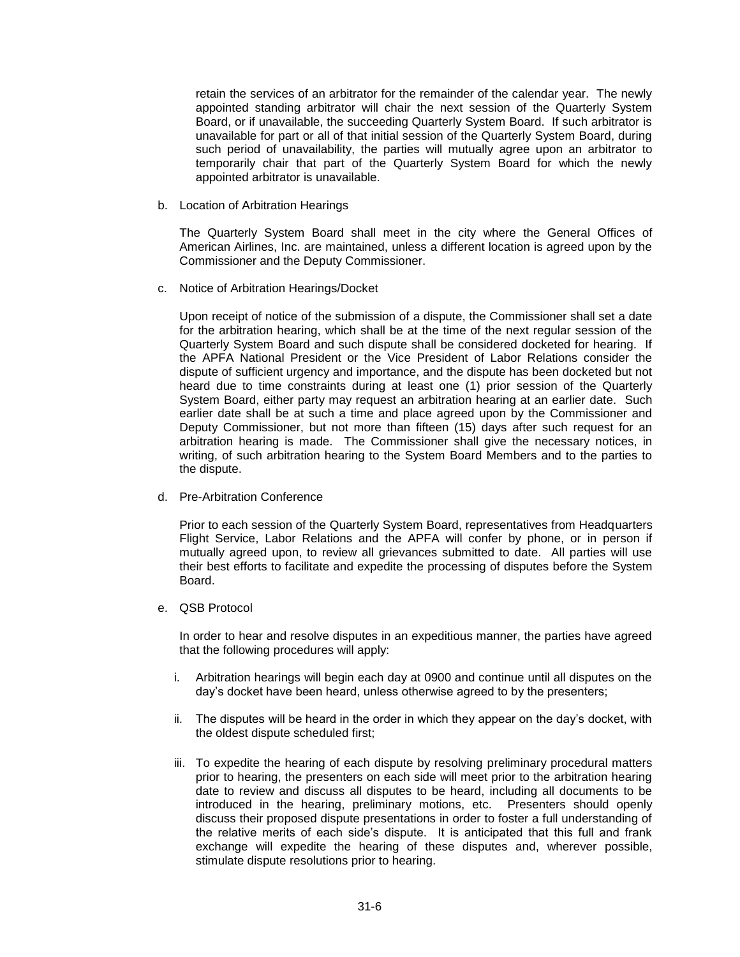retain the services of an arbitrator for the remainder of the calendar year. The newly appointed standing arbitrator will chair the next session of the Quarterly System Board, or if unavailable, the succeeding Quarterly System Board. If such arbitrator is unavailable for part or all of that initial session of the Quarterly System Board, during such period of unavailability, the parties will mutually agree upon an arbitrator to temporarily chair that part of the Quarterly System Board for which the newly appointed arbitrator is unavailable.

b. Location of Arbitration Hearings

The Quarterly System Board shall meet in the city where the General Offices of American Airlines, Inc. are maintained, unless a different location is agreed upon by the Commissioner and the Deputy Commissioner.

c. Notice of Arbitration Hearings/Docket

Upon receipt of notice of the submission of a dispute, the Commissioner shall set a date for the arbitration hearing, which shall be at the time of the next regular session of the Quarterly System Board and such dispute shall be considered docketed for hearing. If the APFA National President or the Vice President of Labor Relations consider the dispute of sufficient urgency and importance, and the dispute has been docketed but not heard due to time constraints during at least one (1) prior session of the Quarterly System Board, either party may request an arbitration hearing at an earlier date. Such earlier date shall be at such a time and place agreed upon by the Commissioner and Deputy Commissioner, but not more than fifteen (15) days after such request for an arbitration hearing is made. The Commissioner shall give the necessary notices, in writing, of such arbitration hearing to the System Board Members and to the parties to the dispute.

d. Pre-Arbitration Conference

Prior to each session of the Quarterly System Board, representatives from Headquarters Flight Service, Labor Relations and the APFA will confer by phone, or in person if mutually agreed upon, to review all grievances submitted to date. All parties will use their best efforts to facilitate and expedite the processing of disputes before the System Board.

e. QSB Protocol

In order to hear and resolve disputes in an expeditious manner, the parties have agreed that the following procedures will apply:

- i. Arbitration hearings will begin each day at 0900 and continue until all disputes on the day's docket have been heard, unless otherwise agreed to by the presenters;
- ii. The disputes will be heard in the order in which they appear on the day's docket, with the oldest dispute scheduled first;
- iii. To expedite the hearing of each dispute by resolving preliminary procedural matters prior to hearing, the presenters on each side will meet prior to the arbitration hearing date to review and discuss all disputes to be heard, including all documents to be introduced in the hearing, preliminary motions, etc. Presenters should openly discuss their proposed dispute presentations in order to foster a full understanding of the relative merits of each side's dispute. It is anticipated that this full and frank exchange will expedite the hearing of these disputes and, wherever possible, stimulate dispute resolutions prior to hearing.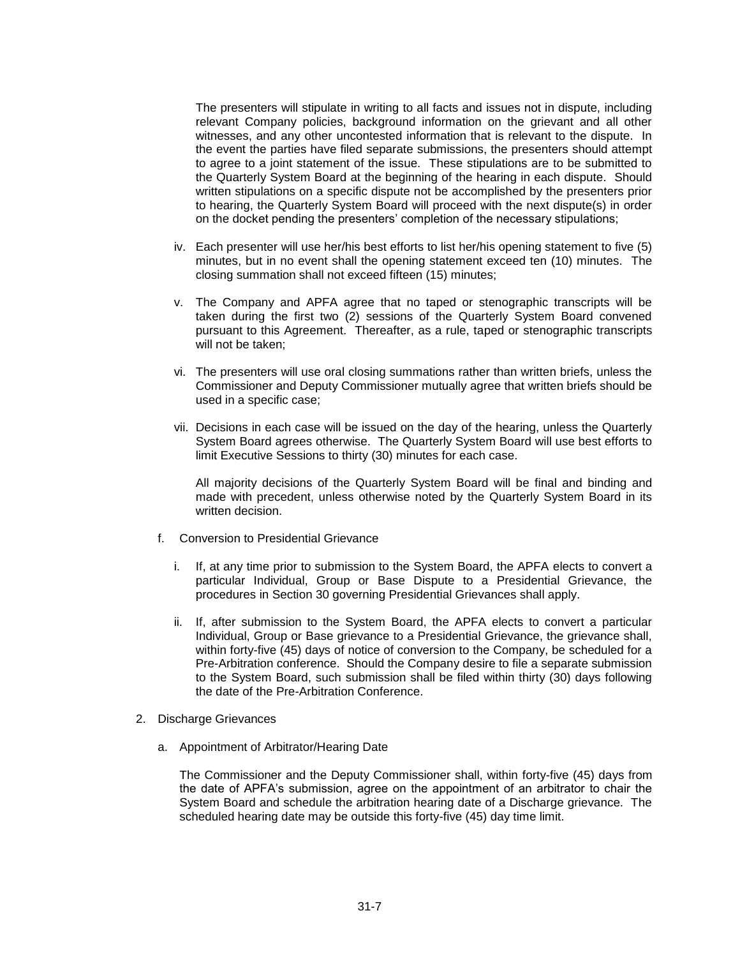The presenters will stipulate in writing to all facts and issues not in dispute, including relevant Company policies, background information on the grievant and all other witnesses, and any other uncontested information that is relevant to the dispute. In the event the parties have filed separate submissions, the presenters should attempt to agree to a joint statement of the issue. These stipulations are to be submitted to the Quarterly System Board at the beginning of the hearing in each dispute. Should written stipulations on a specific dispute not be accomplished by the presenters prior to hearing, the Quarterly System Board will proceed with the next dispute(s) in order on the docket pending the presenters' completion of the necessary stipulations;

- iv. Each presenter will use her/his best efforts to list her/his opening statement to five (5) minutes, but in no event shall the opening statement exceed ten (10) minutes. The closing summation shall not exceed fifteen (15) minutes;
- v. The Company and APFA agree that no taped or stenographic transcripts will be taken during the first two (2) sessions of the Quarterly System Board convened pursuant to this Agreement. Thereafter, as a rule, taped or stenographic transcripts will not be taken;
- vi. The presenters will use oral closing summations rather than written briefs, unless the Commissioner and Deputy Commissioner mutually agree that written briefs should be used in a specific case;
- vii. Decisions in each case will be issued on the day of the hearing, unless the Quarterly System Board agrees otherwise. The Quarterly System Board will use best efforts to limit Executive Sessions to thirty (30) minutes for each case.

All majority decisions of the Quarterly System Board will be final and binding and made with precedent, unless otherwise noted by the Quarterly System Board in its written decision.

- f. Conversion to Presidential Grievance
	- i. If, at any time prior to submission to the System Board, the APFA elects to convert a particular Individual, Group or Base Dispute to a Presidential Grievance, the procedures in Section 30 governing Presidential Grievances shall apply.
	- ii. If, after submission to the System Board, the APFA elects to convert a particular Individual, Group or Base grievance to a Presidential Grievance, the grievance shall, within forty-five (45) days of notice of conversion to the Company, be scheduled for a Pre-Arbitration conference. Should the Company desire to file a separate submission to the System Board, such submission shall be filed within thirty (30) days following the date of the Pre-Arbitration Conference.
- 2. Discharge Grievances
	- a. Appointment of Arbitrator/Hearing Date

The Commissioner and the Deputy Commissioner shall, within forty-five (45) days from the date of APFA's submission, agree on the appointment of an arbitrator to chair the System Board and schedule the arbitration hearing date of a Discharge grievance. The scheduled hearing date may be outside this forty-five (45) day time limit.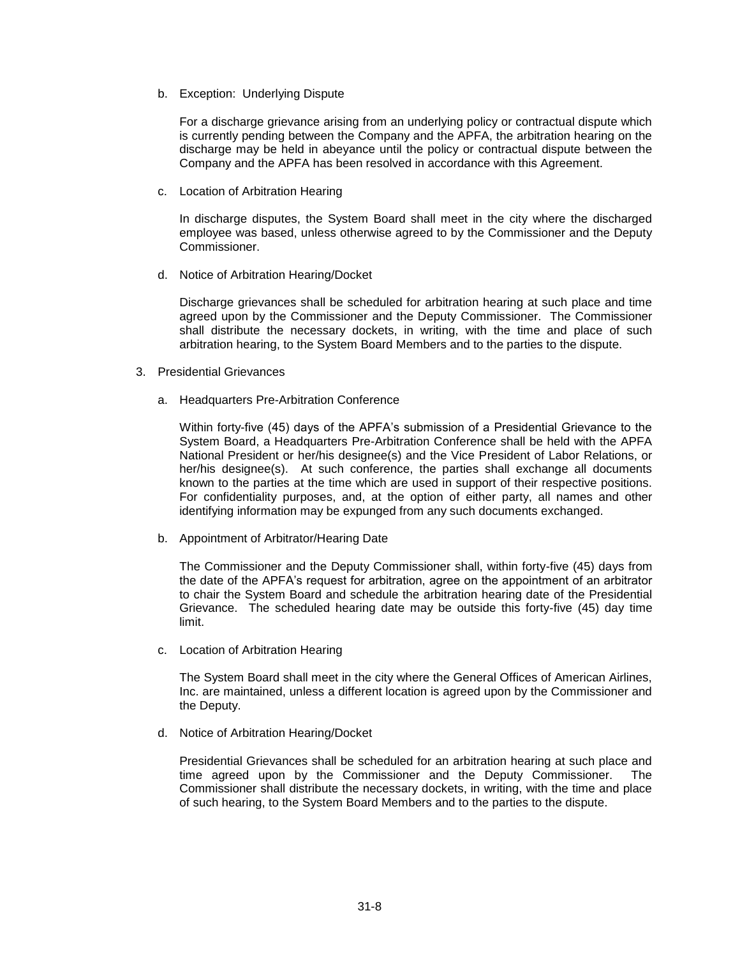b. Exception: Underlying Dispute

For a discharge grievance arising from an underlying policy or contractual dispute which is currently pending between the Company and the APFA, the arbitration hearing on the discharge may be held in abeyance until the policy or contractual dispute between the Company and the APFA has been resolved in accordance with this Agreement.

c. Location of Arbitration Hearing

In discharge disputes, the System Board shall meet in the city where the discharged employee was based, unless otherwise agreed to by the Commissioner and the Deputy Commissioner.

d. Notice of Arbitration Hearing/Docket

Discharge grievances shall be scheduled for arbitration hearing at such place and time agreed upon by the Commissioner and the Deputy Commissioner. The Commissioner shall distribute the necessary dockets, in writing, with the time and place of such arbitration hearing, to the System Board Members and to the parties to the dispute.

- 3. Presidential Grievances
	- a. Headquarters Pre-Arbitration Conference

Within forty-five (45) days of the APFA's submission of a Presidential Grievance to the System Board, a Headquarters Pre-Arbitration Conference shall be held with the APFA National President or her/his designee(s) and the Vice President of Labor Relations, or her/his designee(s). At such conference, the parties shall exchange all documents known to the parties at the time which are used in support of their respective positions. For confidentiality purposes, and, at the option of either party, all names and other identifying information may be expunged from any such documents exchanged.

b. Appointment of Arbitrator/Hearing Date

The Commissioner and the Deputy Commissioner shall, within forty-five (45) days from the date of the APFA's request for arbitration, agree on the appointment of an arbitrator to chair the System Board and schedule the arbitration hearing date of the Presidential Grievance. The scheduled hearing date may be outside this forty-five (45) day time limit.

c. Location of Arbitration Hearing

The System Board shall meet in the city where the General Offices of American Airlines, Inc. are maintained, unless a different location is agreed upon by the Commissioner and the Deputy.

d. Notice of Arbitration Hearing/Docket

Presidential Grievances shall be scheduled for an arbitration hearing at such place and time agreed upon by the Commissioner and the Deputy Commissioner. The Commissioner shall distribute the necessary dockets, in writing, with the time and place of such hearing, to the System Board Members and to the parties to the dispute.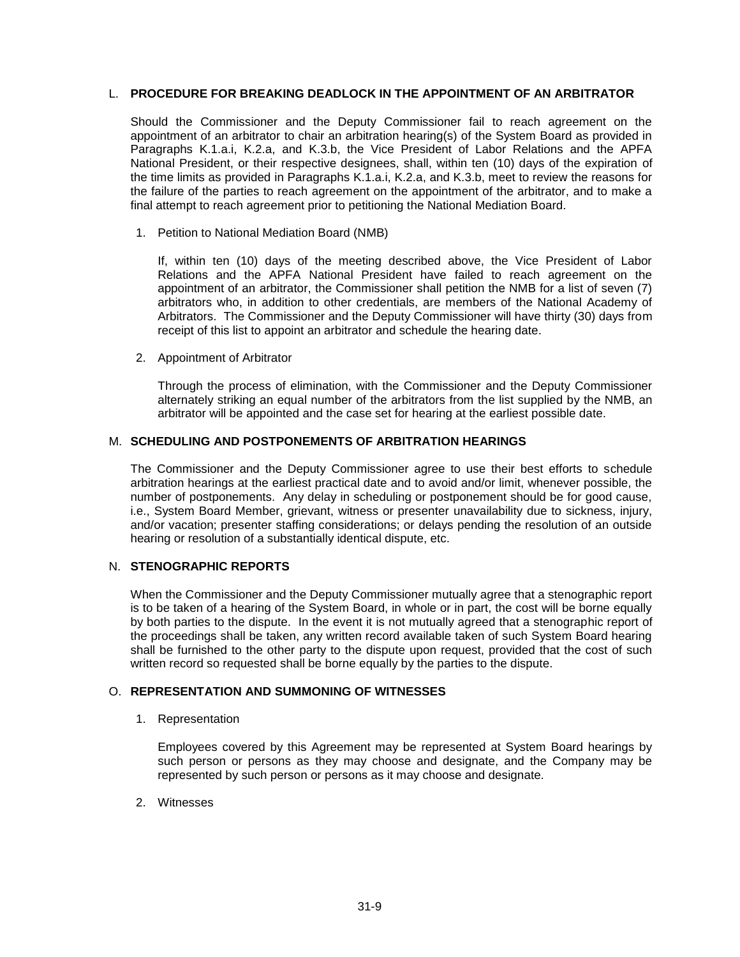## L. **PROCEDURE FOR BREAKING DEADLOCK IN THE APPOINTMENT OF AN ARBITRATOR**

Should the Commissioner and the Deputy Commissioner fail to reach agreement on the appointment of an arbitrator to chair an arbitration hearing(s) of the System Board as provided in Paragraphs K.1.a.i, K.2.a, and K.3.b, the Vice President of Labor Relations and the APFA National President, or their respective designees, shall, within ten (10) days of the expiration of the time limits as provided in Paragraphs K.1.a.i, K.2.a, and K.3.b, meet to review the reasons for the failure of the parties to reach agreement on the appointment of the arbitrator, and to make a final attempt to reach agreement prior to petitioning the National Mediation Board.

1. Petition to National Mediation Board (NMB)

If, within ten (10) days of the meeting described above, the Vice President of Labor Relations and the APFA National President have failed to reach agreement on the appointment of an arbitrator, the Commissioner shall petition the NMB for a list of seven (7) arbitrators who, in addition to other credentials, are members of the National Academy of Arbitrators. The Commissioner and the Deputy Commissioner will have thirty (30) days from receipt of this list to appoint an arbitrator and schedule the hearing date.

2. Appointment of Arbitrator

Through the process of elimination, with the Commissioner and the Deputy Commissioner alternately striking an equal number of the arbitrators from the list supplied by the NMB, an arbitrator will be appointed and the case set for hearing at the earliest possible date.

## M. **SCHEDULING AND POSTPONEMENTS OF ARBITRATION HEARINGS**

The Commissioner and the Deputy Commissioner agree to use their best efforts to schedule arbitration hearings at the earliest practical date and to avoid and/or limit, whenever possible, the number of postponements. Any delay in scheduling or postponement should be for good cause, i.e., System Board Member, grievant, witness or presenter unavailability due to sickness, injury, and/or vacation; presenter staffing considerations; or delays pending the resolution of an outside hearing or resolution of a substantially identical dispute, etc.

## N. **STENOGRAPHIC REPORTS**

When the Commissioner and the Deputy Commissioner mutually agree that a stenographic report is to be taken of a hearing of the System Board, in whole or in part, the cost will be borne equally by both parties to the dispute. In the event it is not mutually agreed that a stenographic report of the proceedings shall be taken, any written record available taken of such System Board hearing shall be furnished to the other party to the dispute upon request, provided that the cost of such written record so requested shall be borne equally by the parties to the dispute.

## O. **REPRESENTATION AND SUMMONING OF WITNESSES**

1. Representation

Employees covered by this Agreement may be represented at System Board hearings by such person or persons as they may choose and designate, and the Company may be represented by such person or persons as it may choose and designate.

2. Witnesses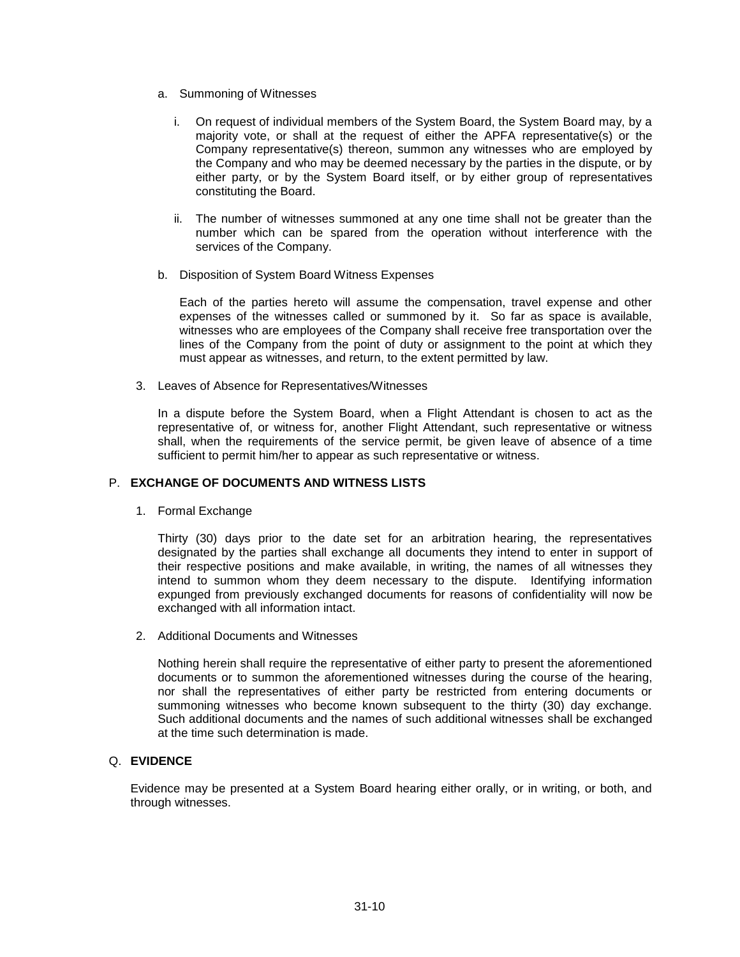- a. Summoning of Witnesses
	- i. On request of individual members of the System Board, the System Board may, by a majority vote, or shall at the request of either the APFA representative(s) or the Company representative(s) thereon, summon any witnesses who are employed by the Company and who may be deemed necessary by the parties in the dispute, or by either party, or by the System Board itself, or by either group of representatives constituting the Board.
	- ii. The number of witnesses summoned at any one time shall not be greater than the number which can be spared from the operation without interference with the services of the Company.
- b. Disposition of System Board Witness Expenses

Each of the parties hereto will assume the compensation, travel expense and other expenses of the witnesses called or summoned by it. So far as space is available, witnesses who are employees of the Company shall receive free transportation over the lines of the Company from the point of duty or assignment to the point at which they must appear as witnesses, and return, to the extent permitted by law.

3. Leaves of Absence for Representatives/Witnesses

In a dispute before the System Board, when a Flight Attendant is chosen to act as the representative of, or witness for, another Flight Attendant, such representative or witness shall, when the requirements of the service permit, be given leave of absence of a time sufficient to permit him/her to appear as such representative or witness.

## P. **EXCHANGE OF DOCUMENTS AND WITNESS LISTS**

1. Formal Exchange

Thirty (30) days prior to the date set for an arbitration hearing, the representatives designated by the parties shall exchange all documents they intend to enter in support of their respective positions and make available, in writing, the names of all witnesses they intend to summon whom they deem necessary to the dispute. Identifying information expunged from previously exchanged documents for reasons of confidentiality will now be exchanged with all information intact.

2. Additional Documents and Witnesses

Nothing herein shall require the representative of either party to present the aforementioned documents or to summon the aforementioned witnesses during the course of the hearing, nor shall the representatives of either party be restricted from entering documents or summoning witnesses who become known subsequent to the thirty (30) day exchange. Such additional documents and the names of such additional witnesses shall be exchanged at the time such determination is made.

# Q. **EVIDENCE**

Evidence may be presented at a System Board hearing either orally, or in writing, or both, and through witnesses.